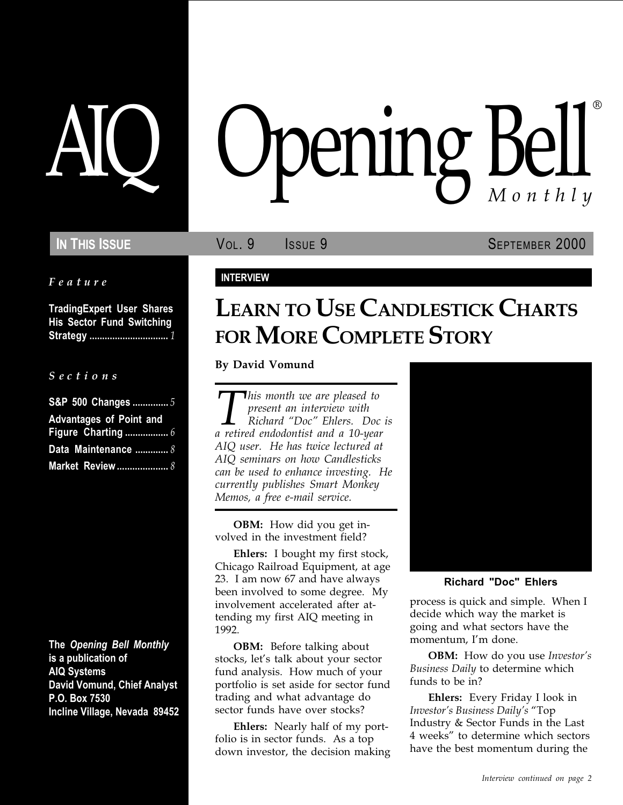#### Feature

TradingExpert User Shares His Sector Fund Switching Strategy ............................... 1

#### S e c t i o n s

| S&P 500 Changes  5             |
|--------------------------------|
| <b>Advantages of Point and</b> |
|                                |
| Data Maintenance  8            |
|                                |

The Opening Bell Monthly is a publication of AIQ Systems David Vomund, Chief Analyst P.O. Box 7530 Incline Village, Nevada 89452

# pening Bell ®

**IN THIS ISSUE VOL. 9** ISSUE 9 SEPTEMBER 2000

## INTERVIEW

# LEARN TO USE CANDLESTICK CHARTS FOR MORE COMPLETE STORY

By David Vomund

This month we are pleased to<br>present an interview with<br>Richard "Doc" Ehlers. Doc<br>a retired endodontist and a 10-year present an interview with Richard "Doc" Ehlers. Doc is AIQ user. He has twice lectured at AIQ seminars on how Candlesticks can be used to enhance investing. He currently publishes Smart Monkey Memos, a free e-mail service.

OBM: How did you get involved in the investment field?

Ehlers: I bought my first stock, Chicago Railroad Equipment, at age 23. I am now 67 and have always been involved to some degree. My involvement accelerated after attending my first AIQ meeting in 1992.

**OBM:** Before talking about stocks, let's talk about your sector fund analysis. How much of your portfolio is set aside for sector fund trading and what advantage do sector funds have over stocks?

Ehlers: Nearly half of my portfolio is in sector funds. As a top down investor, the decision making



#### Richard "Doc" Ehlers

process is quick and simple. When I decide which way the market is going and what sectors have the momentum, I'm done.

**OBM:** How do you use *Investor's* Business Daily to determine which funds to be in?

Ehlers: Every Friday I look in Investor's Business Daily's "Top Industry & Sector Funds in the Last 4 weeks" to determine which sectors have the best momentum during the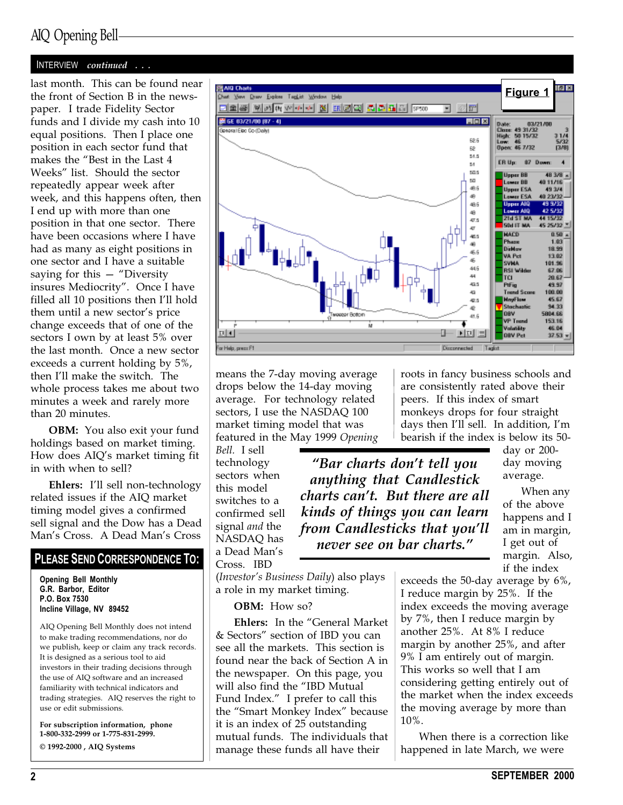## AIQ Opening Bell

#### INTERVIEW continued . . .

last month. This can be found near the front of Section B in the newspaper. I trade Fidelity Sector funds and I divide my cash into 10 equal positions. Then I place one position in each sector fund that makes the "Best in the Last 4 Weeks" list. Should the sector repeatedly appear week after week, and this happens often, then I end up with more than one position in that one sector. There have been occasions where I have had as many as eight positions in one sector and I have a suitable saying for this  $-$  "Diversity" insures Mediocrity". Once I have filled all 10 positions then I'll hold them until a new sector's price change exceeds that of one of the sectors I own by at least 5% over the last month. Once a new sector exceeds a current holding by 5%, then I'll make the switch. The whole process takes me about two minutes a week and rarely more than 20 minutes.

OBM: You also exit your fund holdings based on market timing. How does AIQ's market timing fit in with when to sell?

Ehlers: I'll sell non-technology related issues if the AIQ market timing model gives a confirmed sell signal and the Dow has a Dead Man's Cross. A Dead Man's Cross

#### PLEASE SEND CORRESPONDENCE TO:

Opening Bell Monthly G.R. Barbor, Editor P.O. Box 7530 Incline Village, NV 89452

AIQ Opening Bell Monthly does not intend to make trading recommendations, nor do we publish, keep or claim any track records. It is designed as a serious tool to aid investors in their trading decisions through the use of AIQ software and an increased familiarity with technical indicators and trading strategies. AIQ reserves the right to use or edit submissions.

For subscription information, phone 1-800-332-2999 or 1-775-831-2999. © 1992-2000 , AIQ Systems



means the 7-day moving average drops below the 14-day moving average. For technology related sectors, I use the NASDAQ 100 market timing model that was featured in the May 1999 Opening

Bell. I sell technology sectors when this model switches to a confirmed sell signal *and* the NASDAQ has a Dead Man's Cross. IBD

"Bar charts don't tell you anything that Candlestick charts can't. But there are all kinds of things you can learn from Candlesticks that you'll

never see on bar charts."

peers. If this index of smart monkeys drops for four straight days then I'll sell. In addition, I'm bearish if the index is below its 50 day or 200-

roots in fancy business schools and are consistently rated above their

> day moving average.

When any of the above happens and I am in margin, I get out of margin. Also, if the index

 $(Investor's Business Daily)$  also plays a role in my market timing.

#### OBM: How so?

Ehlers: In the "General Market & Sectors" section of IBD you can see all the markets. This section is found near the back of Section A in the newspaper. On this page, you will also find the "IBD Mutual Fund Index." I prefer to call this the "Smart Monkey Index" because it is an index of 25 outstanding mutual funds. The individuals that manage these funds all have their

exceeds the 50-day average by 6%, I reduce margin by 25%. If the index exceeds the moving average by 7%, then I reduce margin by another 25%. At 8% I reduce margin by another 25%, and after 9% I am entirely out of margin. This works so well that I am considering getting entirely out of the market when the index exceeds the moving average by more than 10%.

When there is a correction like happened in late March, we were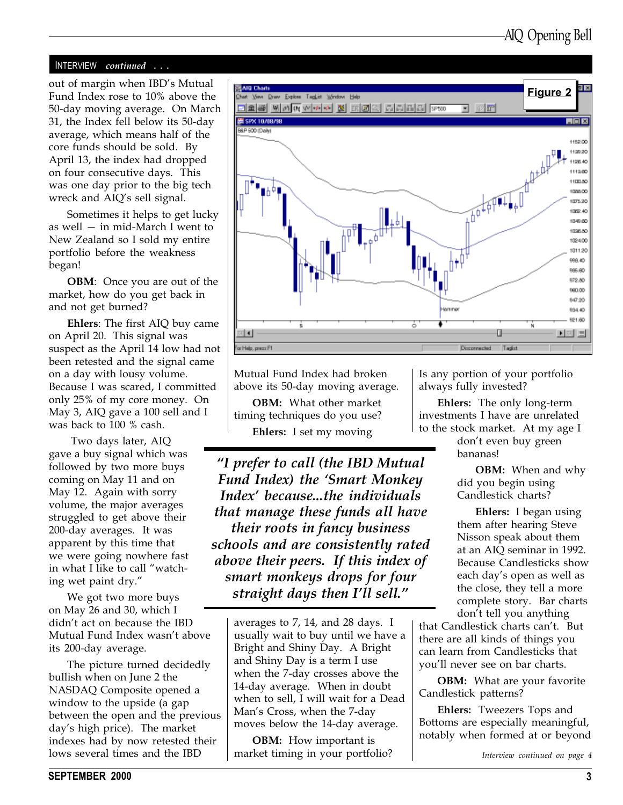#### INTERVIEW continued . . .

Fund Index rose to 10% above the 50-day moving average. On March 31, the Index fell below its 50-day average, which means half of the core funds should be sold. By April 13, the index had dropped on four consecutive days. This was one day prior to the big tech wreck and AIQ's sell signal.

Sometimes it helps to get lucky as well  $-$  in mid-March I went to New Zealand so I sold my entire portfolio before the weakness began!

**OBM**: Once you are out of the market, how do you get back in and not get burned?

Ehlers: The first AIQ buy came on April 20. This signal was suspect as the April 14 low had not been retested and the signal came on a day with lousy volume. Because I was scared, I committed only 25% of my core money. On May 3, AIQ gave a 100 sell and I was back to 100 % cash.

 Two days later, AIQ gave a buy signal which was followed by two more buys coming on May 11 and on May 12. Again with sorry volume, the major averages struggled to get above their 200-day averages. It was apparent by this time that we were going nowhere fast in what I like to call "watching wet paint dry.

We got two more buys on May 26 and 30, which I didn't act on because the IBD Mutual Fund Index wasn't above its 200-day average.

The picture turned decidedly bullish when on June 2 the NASDAQ Composite opened a window to the upside (a gap between the open and the previous day's high price). The market indexes had by now retested their lows several times and the IBD



Mutual Fund Index had broken above its 50-day moving average.

OBM: What other market timing techniques do you use? Ehlers: I set my moving

I prefer to call (the IBD Mutual Fund Index) the Smart Monkey Index' because...the individuals that manage these funds all have their roots in fancy business schools and are consistently rated above their peers. If this index of smart monkeys drops for four straight days then I'll sell."

averages to 7, 14, and 28 days. I usually wait to buy until we have a Bright and Shiny Day. A Bright and Shiny Day is a term I use when the 7-day crosses above the 14-day average. When in doubt when to sell, I will wait for a Dead Man's Cross, when the 7-day moves below the 14-day average.

**OBM:** How important is market timing in your portfolio? Is any portion of your portfolio always fully invested?

Ehlers: The only long-term investments I have are unrelated to the stock market. At my age I

> don't even buy green bananas!

**OBM:** When and why did you begin using Candlestick charts?

Ehlers: I began using them after hearing Steve Nisson speak about them at an AIQ seminar in 1992. Because Candlesticks show each day's open as well as the close, they tell a more complete story. Bar charts don't tell you anything

that Candlestick charts can't. But there are all kinds of things you can learn from Candlesticks that you'll never see on bar charts.

**OBM:** What are your favorite Candlestick patterns?

Ehlers: Tweezers Tops and Bottoms are especially meaningful, notably when formed at or beyond

Interview continued on page 4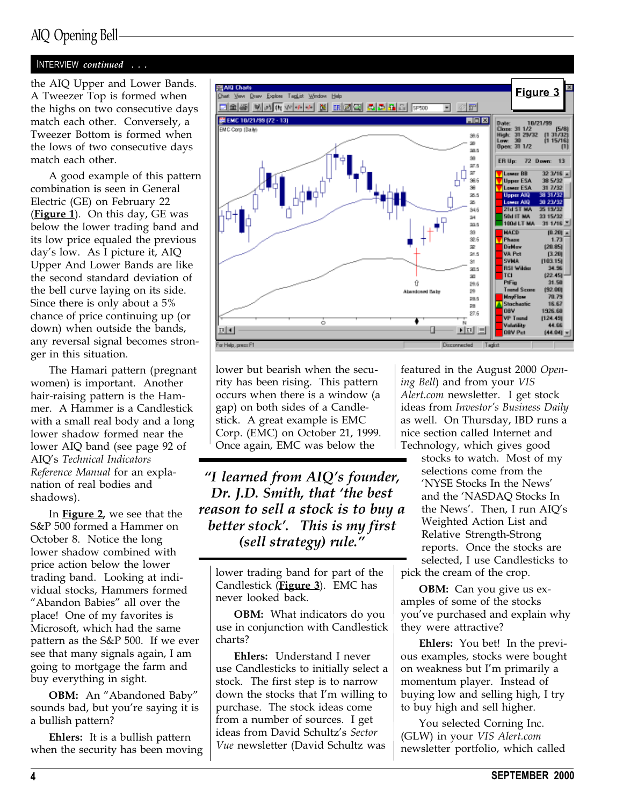## AIQ Opening Bell

## INTERVIEW continued . . .

the AIQ Upper and Lower Bands. A Tweezer Top is formed when the highs on two consecutive days match each other. Conversely, a Tweezer Bottom is formed when the lows of two consecutive days match each other.

A good example of this pattern combination is seen in General Electric (GE) on February 22 (Figure 1). On this day,  $GE$  was below the lower trading band and its low price equaled the previous day's low. As I picture it, AIQ Upper And Lower Bands are like the second standard deviation of the bell curve laying on its side. Since there is only about a 5% chance of price continuing up (or down) when outside the bands, any reversal signal becomes stronger in this situation.

The Hamari pattern (pregnant women) is important. Another hair-raising pattern is the Hammer. A Hammer is a Candlestick with a small real body and a long lower shadow formed near the lower AIQ band (see page 92 of AIQ's Technical Indicators Reference Manual for an explanation of real bodies and shadows).

In **Figure 2**, we see that the S&P 500 formed a Hammer on October 8. Notice the long lower shadow combined with price action below the lower trading band. Looking at individual stocks, Hammers formed "Abandon Babies" all over the place! One of my favorites is Microsoft, which had the same pattern as the S&P 500. If we ever see that many signals again, I am going to mortgage the farm and buy everything in sight.

OBM: An "Abandoned Baby" sounds bad, but you're saying it is a bullish pattern?

Ehlers: It is a bullish pattern when the security has been moving



lower but bearish when the security has been rising. This pattern occurs when there is a window (a gap) on both sides of a Candlestick. A great example is EMC Corp. (EMC) on October 21, 1999. Once again, EMC was below the

"I learned from AIQ's founder, Dr. J.D. Smith, that 'the best reason to sell a stock is to buy a better stock'. This is my first (sell strategy) rule.

lower trading band for part of the Candlestick (**Figure 3**). EMC has never looked back.

OBM: What indicators do you use in conjunction with Candlestick charts?

Ehlers: Understand I never use Candlesticks to initially select a stock. The first step is to narrow down the stocks that I'm willing to purchase. The stock ideas come from a number of sources. I get ideas from David Schultz's Sector Vue newsletter (David Schultz was

featured in the August 2000 Opening Bell) and from your VIS Alert.com newsletter. I get stock ideas from Investor's Business Daily as well. On Thursday, IBD runs a nice section called Internet and Technology, which gives good

stocks to watch. Most of my selections come from the NYSE Stocks In the News and the NASDAQ Stocks In the News'. Then, I run AIQ's Weighted Action List and Relative Strength-Strong reports. Once the stocks are selected, I use Candlesticks to pick the cream of the crop.

OBM: Can you give us examples of some of the stocks you've purchased and explain why they were attractive?

Ehlers: You bet! In the previous examples, stocks were bought on weakness but I'm primarily a momentum player. Instead of buying low and selling high, I try to buy high and sell higher.

You selected Corning Inc. (GLW) in your VIS Alert.com newsletter portfolio, which called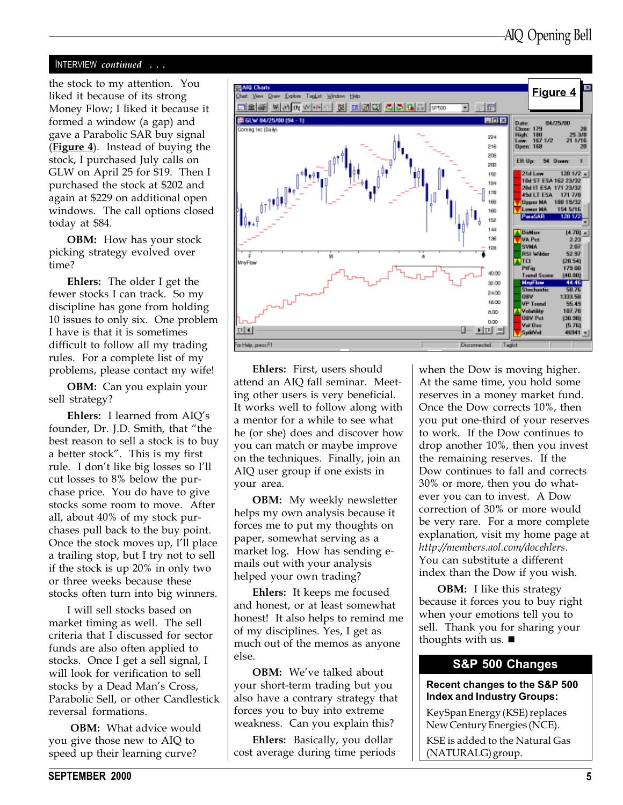#### INTERVIEW continued . . .

the stock to my attention. You liked it because of its strong Money Flow; I liked it because it formed a window (a gap) and gave a Parabolic SAR buy signal (Figure 4). Instead of buying the stock, I purchased July calls on GLW on April 25 for \$19. Then I purchased the stock at \$202 and again at \$229 on additional open windows. The call options closed today at \$84.

OBM: How has your stock picking strategy evolved over time?

Ehlers: The older I get the fewer stocks I can track. So my discipline has gone from holding 10 issues to only six. One problem I have is that it is sometimes difficult to follow all my trading rules. For a complete list of my problems, please contact my wife!

OBM: Can you explain your sell strategy?

Ehlers: I learned from  $AIO's$ founder, Dr. J.D. Smith, that "the best reason to sell a stock is to buy a better stock". This is my first rule. I don't like big losses so I'll cut losses to 8% below the purchase price. You do have to give stocks some room to move. After all, about 40% of my stock purchases pull back to the buy point. Once the stock moves up, I'll place a trailing stop, but I try not to sell if the stock is up 20% in only two or three weeks because these stocks often turn into big winners.

I will sell stocks based on market timing as well. The sell criteria that I discussed for sector funds are also often applied to stocks. Once I get a sell signal, I will look for verification to sell stocks by a Dead Man's Cross, Parabolic Sell, or other Candlestick reversal formations.

OBM: What advice would you give those new to AIQ to speed up their learning curve?



Ehlers: First, users should attend an AIQ fall seminar. Meeting other users is very beneficial. It works well to follow along with a mentor for a while to see what he (or she) does and discover how you can match or maybe improve on the techniques. Finally, join an AIQ user group if one exists in your area.

OBM: My weekly newsletter helps my own analysis because it forces me to put my thoughts on paper, somewhat serving as a market log. How has sending emails out with your analysis helped your own trading?

Ehlers: It keeps me focused and honest, or at least somewhat honest! It also helps to remind me of my disciplines. Yes, I get as much out of the memos as anyone else.

**OBM:** We've talked about your short-term trading but you also have a contrary strategy that forces you to buy into extreme weakness. Can you explain this?

Ehlers: Basically, you dollar cost average during time periods when the Dow is moving higher. At the same time, you hold some reserves in a money market fund. Once the Dow corrects 10%, then you put one-third of your reserves to work. If the Dow continues to drop another 10%, then you invest the remaining reserves. If the Dow continues to fall and corrects 30% or more, then you do whatever you can to invest. A Dow correction of 30% or more would be very rare. For a more complete explanation, visit my home page at http://members.aol.com/docehlers. You can substitute a different index than the Dow if you wish.

**OBM:** I like this strategy because it forces you to buy right when your emotions tell you to sell. Thank you for sharing your thoughts with us.  $\blacksquare$ 

#### S&P 500 Changes

#### Recent changes to the S&P 500 Index and Industry Groups:

KeySpan Energy (KSE) replaces New Century Energies (NCE).

KSE is added to the Natural Gas (NATURALG) group.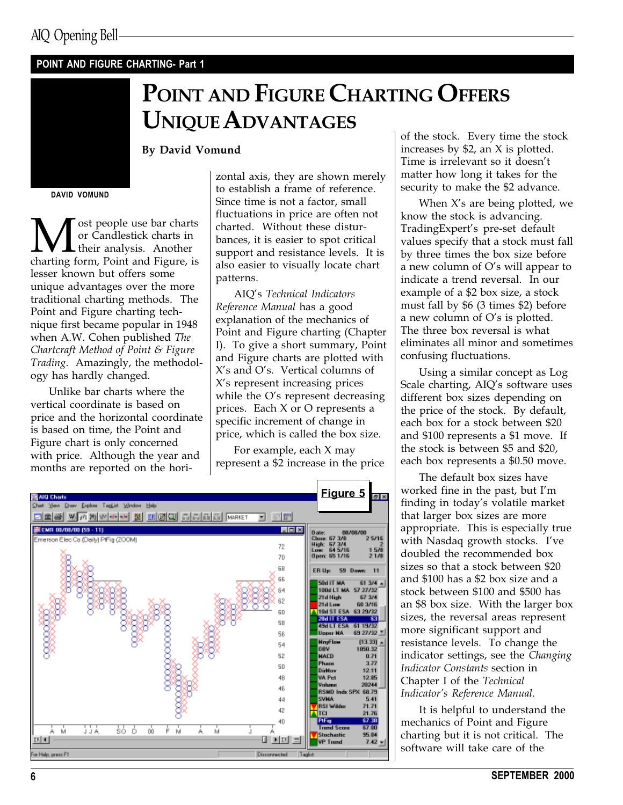## POINT AND FIGURE CHARTING- Part 1

# POINT AND FIGURE CHARTING OFFERS UNIQUE ADVANTAGES

By David Vomund

DAVID VOMUND

**M** ost people use bar charts<br>their analysis. Another<br>charting form, Point and Figure, is or Candlestick charts in their analysis. Another lesser known but offers some unique advantages over the more traditional charting methods. The Point and Figure charting technique first became popular in 1948 when A.W. Cohen published The Chartcraft Method of Point & Figure Trading. Amazingly, the methodology has hardly changed.

Unlike bar charts where the vertical coordinate is based on price and the horizontal coordinate is based on time, the Point and Figure chart is only concerned with price. Although the year and months are reported on the horizontal axis, they are shown merely to establish a frame of reference. Since time is not a factor, small fluctuations in price are often not charted. Without these disturbances, it is easier to spot critical support and resistance levels. It is also easier to visually locate chart patterns.

AIQ's Technical Indicators Reference Manual has a good explanation of the mechanics of Point and Figure charting (Chapter I). To give a short summary, Point and Figure charts are plotted with  $X$ 's and O's. Vertical columns of X's represent increasing prices while the O's represent decreasing prices. Each X or O represents a specific increment of change in price, which is called the box size.

For example, each X may represent a \$2 increase in the price



of the stock. Every time the stock increases by \$2, an X is plotted. Time is irrelevant so it doesn't matter how long it takes for the security to make the \$2 advance.

When  $X$ 's are being plotted, we know the stock is advancing. TradingExpert's pre-set default values specify that a stock must fall by three times the box size before a new column of  $O$ 's will appear to indicate a trend reversal. In our example of a \$2 box size, a stock must fall by \$6 (3 times \$2) before a new column of  $O's$  is plotted. The three box reversal is what eliminates all minor and sometimes confusing fluctuations.

Using a similar concept as Log Scale charting, AIQ's software uses different box sizes depending on the price of the stock. By default, each box for a stock between \$20 and \$100 represents a \$1 move. If the stock is between \$5 and \$20, each box represents a \$0.50 move.

The default box sizes have worked fine in the past, but I'm finding in today's volatile market that larger box sizes are more appropriate. This is especially true with Nasdaq growth stocks. I've doubled the recommended box sizes so that a stock between \$20 and \$100 has a \$2 box size and a stock between \$100 and \$500 has an \$8 box size. With the larger box sizes, the reversal areas represent more significant support and resistance levels. To change the indicator settings, see the Changing Indicator Constants section in Chapter I of the Technical Indicator's Reference Manual.

It is helpful to understand the mechanics of Point and Figure charting but it is not critical. The software will take care of the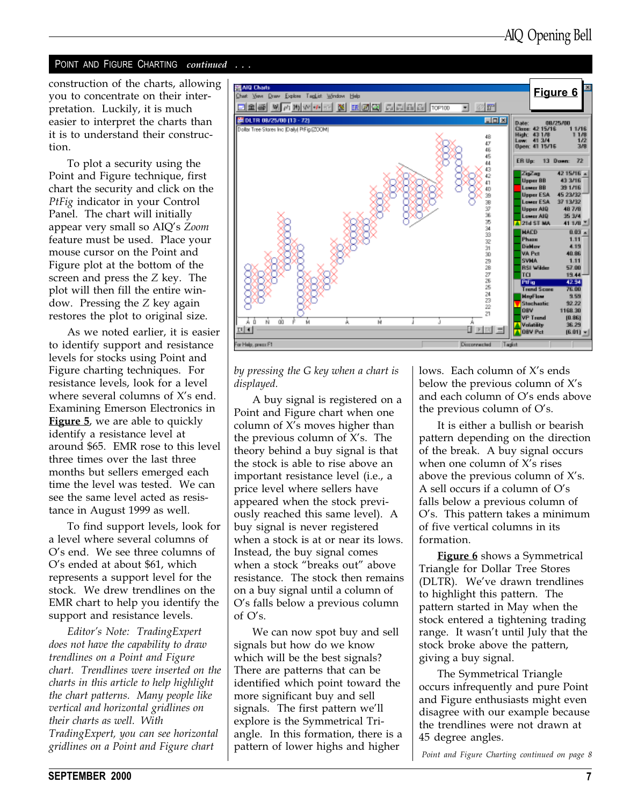#### POINT AND FIGURE CHARTING continued . . .

construction of the charts, allowing you to concentrate on their interpretation. Luckily, it is much easier to interpret the charts than it is to understand their construction.

To plot a security using the Point and Figure technique, first chart the security and click on the PtFig indicator in your Control Panel. The chart will initially appear very small so AIQ's Zoom feature must be used. Place your mouse cursor on the Point and Figure plot at the bottom of the screen and press the Z key. The plot will then fill the entire window. Pressing the Z key again restores the plot to original size.

As we noted earlier, it is easier to identify support and resistance levels for stocks using Point and Figure charting techniques. For resistance levels, look for a level where several columns of  $X$ 's end. Examining Emerson Electronics in **Figure 5**, we are able to quickly identify a resistance level at around \$65. EMR rose to this level three times over the last three months but sellers emerged each time the level was tested. We can see the same level acted as resistance in August 1999 as well.

To find support levels, look for a level where several columns of O's end. We see three columns of O's ended at about \$61, which represents a support level for the stock. We drew trendlines on the EMR chart to help you identify the support and resistance levels.

Editor's Note: TradingExpert does not have the capability to draw trendlines on a Point and Figure chart. Trendlines were inserted on the charts in this article to help highlight the chart patterns. Many people like vertical and horizontal gridlines on their charts as well. With TradingExpert, you can see horizontal gridlines on a Point and Figure chart



#### by pressing the G key when a chart is displayed.

A buy signal is registered on a Point and Figure chart when one column of  $X$ 's moves higher than the previous column of  $X$ 's. The theory behind a buy signal is that the stock is able to rise above an important resistance level (i.e., a price level where sellers have appeared when the stock previously reached this same level). A buy signal is never registered when a stock is at or near its lows. Instead, the buy signal comes when a stock "breaks out" above resistance. The stock then remains on a buy signal until a column of O's falls below a previous column of O's.

We can now spot buy and sell signals but how do we know which will be the best signals? There are patterns that can be identified which point toward the more significant buy and sell signals. The first pattern we'll explore is the Symmetrical Triangle. In this formation, there is a pattern of lower highs and higher

lows. Each column of  $X$ 's ends below the previous column of  $X's$ and each column of  $O's$  ends above the previous column of  $O's$ .

It is either a bullish or bearish pattern depending on the direction of the break. A buy signal occurs when one column of  $X$ 's rises above the previous column of  $X$ 's. A sell occurs if a column of  $O's$ falls below a previous column of O's. This pattern takes a minimum of five vertical columns in its formation.

Figure 6 shows a Symmetrical Triangle for Dollar Tree Stores (DLTR). We've drawn trendlines to highlight this pattern. The pattern started in May when the stock entered a tightening trading range. It wasn't until July that the stock broke above the pattern, giving a buy signal.

The Symmetrical Triangle occurs infrequently and pure Point and Figure enthusiasts might even disagree with our example because the trendlines were not drawn at 45 degree angles.

Point and Figure Charting continued on page 8